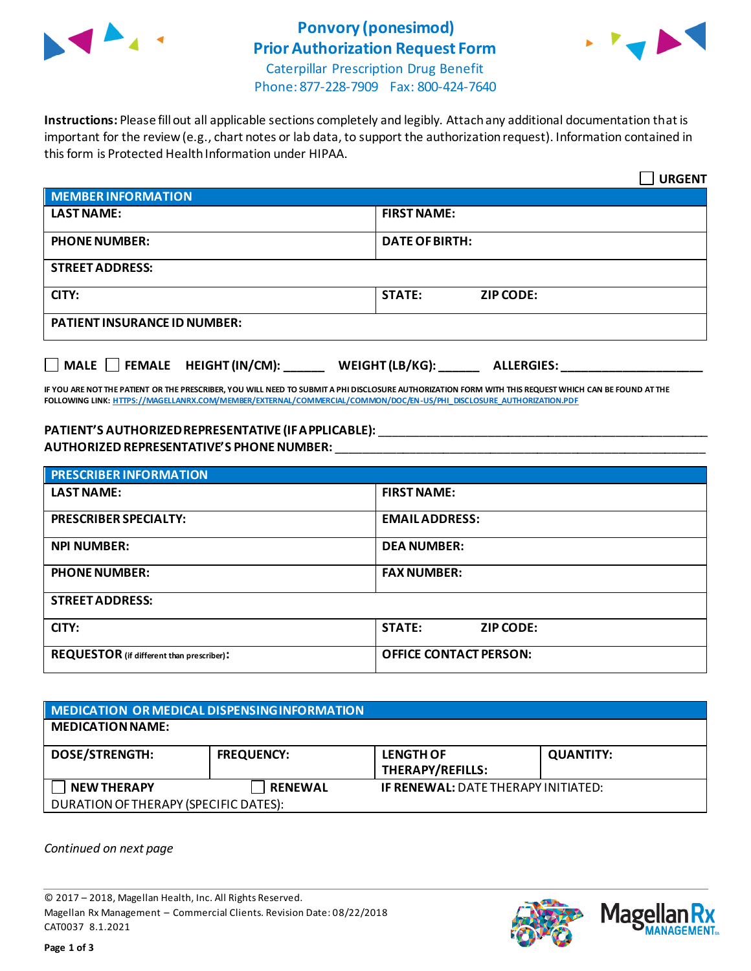

# **Ponvory (ponesimod) Prior Authorization Request Form**



Caterpillar Prescription Drug Benefit Phone: 877-228-7909 Fax: 800-424-7640

**Instructions:** Please fill out all applicable sections completely and legibly. Attach any additional documentation that is important for the review (e.g., chart notes or lab data, to support the authorization request). Information contained in this form is Protected Health Information under HIPAA.

|                                                                                   | <b>URGENT</b>                     |  |
|-----------------------------------------------------------------------------------|-----------------------------------|--|
| <b>MEMBER INFORMATION</b>                                                         |                                   |  |
| <b>LAST NAME:</b>                                                                 | <b>FIRST NAME:</b>                |  |
| <b>PHONE NUMBER:</b>                                                              | <b>DATE OF BIRTH:</b>             |  |
| <b>STREET ADDRESS:</b>                                                            |                                   |  |
| CITY:                                                                             | <b>STATE:</b><br><b>ZIP CODE:</b> |  |
| <b>PATIENT INSURANCE ID NUMBER:</b>                                               |                                   |  |
| $\Box$ MALE $\Box$ FEMALE HEIGHT (IN/CM):<br>WEIGHT (LB/KG):<br><b>ALLERGIES:</b> |                                   |  |

**IF YOU ARE NOT THE PATIENT OR THE PRESCRIBER, YOU WILL NEED TO SUBMIT A PHI DISCLOSURE AUTHORIZATION FORM WITH THIS REQUEST WHICH CAN BE FOUND AT THE FOLLOWING LINK[: HTTPS://MAGELLANRX.COM/MEMBER/EXTERNAL/COMMERCIAL/COMMON/DOC/EN-US/PHI\\_DISCLOSURE\\_AUTHORIZATION.PDF](https://magellanrx.com/member/external/commercial/common/doc/en-us/PHI_Disclosure_Authorization.pdf)**

#### **PATIENT'S AUTHORIZED REPRESENTATIVE (IF APPLICABLE):** \_\_\_\_\_\_\_\_\_\_\_\_\_\_\_\_\_\_\_\_\_\_\_\_\_\_\_\_\_\_\_\_\_\_\_\_\_\_\_\_\_\_\_\_\_\_\_\_\_ **AUTHORIZED REPRESENTATIVE'S PHONE NUMBER:** \_\_\_\_\_\_\_\_\_\_\_\_\_\_\_\_\_\_\_\_\_\_\_\_\_\_\_\_\_\_\_\_\_\_\_\_\_\_\_\_\_\_\_\_\_\_\_\_\_\_\_\_\_\_\_

| <b>PRESCRIBER INFORMATION</b>             |                               |  |
|-------------------------------------------|-------------------------------|--|
| <b>LAST NAME:</b>                         | <b>FIRST NAME:</b>            |  |
| <b>PRESCRIBER SPECIALTY:</b>              | <b>EMAIL ADDRESS:</b>         |  |
| <b>NPI NUMBER:</b>                        | <b>DEA NUMBER:</b>            |  |
| <b>PHONE NUMBER:</b>                      | <b>FAX NUMBER:</b>            |  |
| <b>STREET ADDRESS:</b>                    |                               |  |
| CITY:                                     | <b>STATE:</b><br>ZIP CODE:    |  |
| REQUESTOR (if different than prescriber): | <b>OFFICE CONTACT PERSON:</b> |  |

### **MEDICATION OR MEDICAL DISPENSING INFORMATION MEDICATION NAME: DOSE/STRENGTH: FREQUENCY: LENGTH OF THERAPY/REFILLS: QUANTITY: NEW THERAPY RENEWAL IF RENEWAL:** DATE THERAPY INITIATED: DURATION OF THERAPY (SPECIFIC DATES):

*Continued on next page*

© 2017 – 2018, Magellan Health, Inc. All Rights Reserved. Magellan Rx Management – Commercial Clients. Revision Date: 08/22/2018 CAT0037 8.1.2021



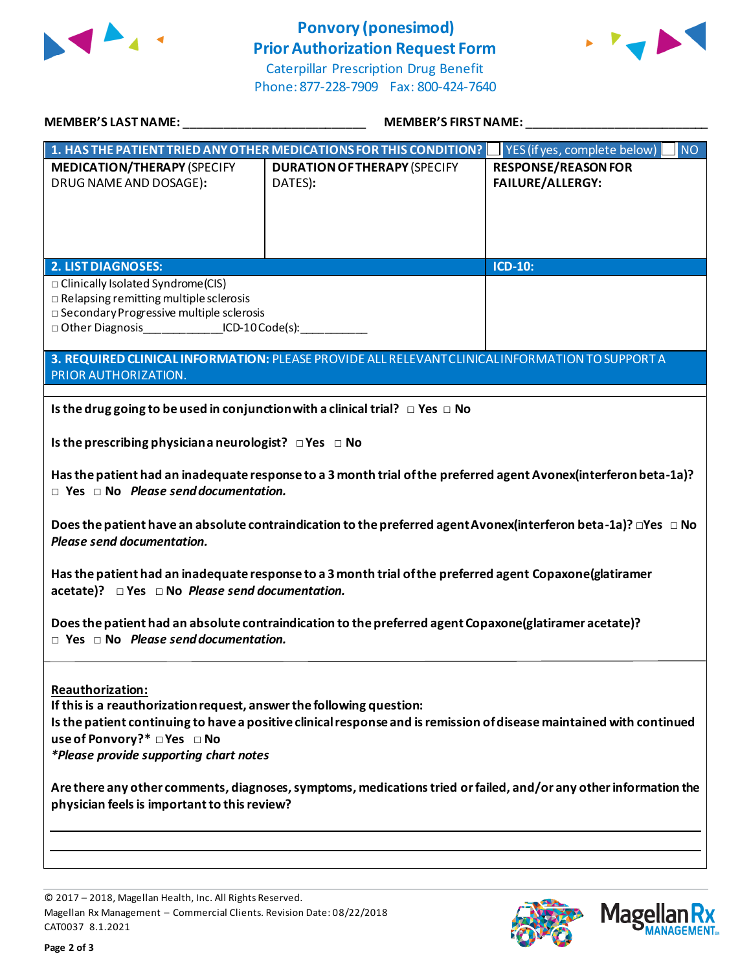

## **Ponvory (ponesimod) Prior Authorization Request Form**



Caterpillar Prescription Drug Benefit Phone: 877-228-7909 Fax: 800-424-7640

| <b>MEMBER'S LAST NAME:</b>                                                                                                                                                                                                                                                                                                                                                                                                                                    | <b>MEMBER'S FIRST NAME:</b>                    |                                                       |  |
|---------------------------------------------------------------------------------------------------------------------------------------------------------------------------------------------------------------------------------------------------------------------------------------------------------------------------------------------------------------------------------------------------------------------------------------------------------------|------------------------------------------------|-------------------------------------------------------|--|
| 1. HAS THE PATIENT TRIED ANY OTHER MEDICATIONS FOR THIS CONDITION?   YES (if yes, complete below)<br><b>NO</b>                                                                                                                                                                                                                                                                                                                                                |                                                |                                                       |  |
| <b>MEDICATION/THERAPY (SPECIFY</b><br>DRUG NAME AND DOSAGE):                                                                                                                                                                                                                                                                                                                                                                                                  | <b>DURATION OF THERAPY (SPECIFY</b><br>DATES): | <b>RESPONSE/REASON FOR</b><br><b>FAILURE/ALLERGY:</b> |  |
| <b>2. LIST DIAGNOSES:</b>                                                                                                                                                                                                                                                                                                                                                                                                                                     |                                                | <b>ICD-10:</b>                                        |  |
| □ Clinically Isolated Syndrome(CIS)<br>$\Box$ Relapsing remitting multiple sclerosis<br>□ Secondary Progressive multiple sclerosis<br>□ Other Diagnosis ICD-10 Code(s):                                                                                                                                                                                                                                                                                       |                                                |                                                       |  |
| 3. REQUIRED CLINICAL INFORMATION: PLEASE PROVIDE ALL RELEVANT CLINICAL INFORMATION TO SUPPORT A<br>PRIOR AUTHORIZATION.                                                                                                                                                                                                                                                                                                                                       |                                                |                                                       |  |
| Is the drug going to be used in conjunction with a clinical trial? $\Box$ Yes $\Box$ No                                                                                                                                                                                                                                                                                                                                                                       |                                                |                                                       |  |
| Is the prescribing physician a neurologist? $\Box$ Yes $\Box$ No                                                                                                                                                                                                                                                                                                                                                                                              |                                                |                                                       |  |
| Has the patient had an inadequate response to a 3 month trial of the preferred agent Avonex(interferon beta-1a)?<br>$\Box$ Yes $\Box$ No Please send documentation.                                                                                                                                                                                                                                                                                           |                                                |                                                       |  |
| Does the patient have an absolute contraindication to the preferred agent Avonex (interferon beta-1a)? $\Box$ Yes $\Box$ No<br>Please send documentation.                                                                                                                                                                                                                                                                                                     |                                                |                                                       |  |
| Has the patient had an inadequate response to a 3 month trial of the preferred agent Copaxone(glatiramer<br>acetate)? Pes DNo Please send documentation.                                                                                                                                                                                                                                                                                                      |                                                |                                                       |  |
| Does the patient had an absolute contraindication to the preferred agent Copaxone(glatiramer acetate)?<br>$\Box$ Yes $\Box$ No Please send documentation.                                                                                                                                                                                                                                                                                                     |                                                |                                                       |  |
| Reauthorization:<br>If this is a reauthorization request, answer the following question:<br>Is the patient continuing to have a positive clinical response and is remission of disease maintained with continued<br>use of Ponvory?* □ Yes □ No<br>*Please provide supporting chart notes<br>Are there any other comments, diagnoses, symptoms, medications tried or failed, and/or any other information the<br>physician feels is important to this review? |                                                |                                                       |  |
|                                                                                                                                                                                                                                                                                                                                                                                                                                                               |                                                |                                                       |  |